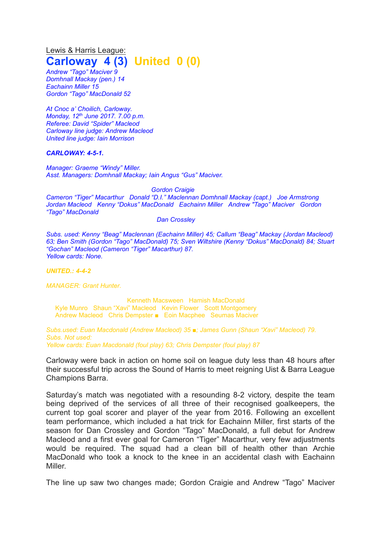Lewis & Harris League: **Carloway 4 (3) United 0 (0)**

*Andrew "Tago" Maciver 9 Domhnall Mackay (pen.) 14 Eachainn Miller 15 Gordon "Tago" MacDonald 52*

*At Cnoc a' Choilich, Carloway. Monday, 12th June 2017. 7.00 p.m. Referee: David "Spider" Macleod Carloway line judge: Andrew Macleod United line judge: Iain Morrison*

## *CARLOWAY: 4-5-1.*

*Manager: Graeme "Windy" Miller. Asst. Managers: Domhnall Mackay; Iain Angus "Gus" Maciver.*

*Gordon Craigie*

*Cameron "Tiger" Macarthur Donald "D.I." Maclennan Domhnall Mackay (capt.) Joe Armstrong Jordan Macleod Kenny "Dokus" MacDonald Eachainn Miller Andrew "Tago" Maciver Gordon "Tago" MacDonald*

*Dan Crossley*

*Subs. used: Kenny "Beag" Maclennan (Eachainn Miller) 45; Callum "Beag" Mackay (Jordan Macleod) 63; Ben Smith (Gordon "Tago" MacDonald) 75; Sven Wiltshire (Kenny "Dokus" MacDonald) 84; Stuart "Gochan" Macleod (Cameron "Tiger" Macarthur) 87. Yellow cards: None.*

*UNITED.: 4-4-2*

*MANAGER: Grant Hunter.*

Kenneth Macsween Hamish MacDonald Kyle Munro Shaun "Xavi" Macleod Kevin Flower Scott Montgomery Andrew Macleod Chris Dempster ■ Eoin Macphee Seumas Maciver

*Subs.used: Euan Macdonald (Andrew Macleod) 35 ■; James Gunn (Shaun "Xavi" Macleod) 79. Subs. Not used: Yellow cards: Euan Macdonald (foul play) 63; Chris Dempster (foul play) 87*

Carloway were back in action on home soil on league duty less than 48 hours after their successful trip across the Sound of Harris to meet reigning Uist & Barra League Champions Barra.

Saturday's match was negotiated with a resounding 8-2 victory, despite the team being deprived of the services of all three of their recognised goalkeepers, the current top goal scorer and player of the year from 2016. Following an excellent team performance, which included a hat trick for Eachainn Miller, first starts of the season for Dan Crossley and Gordon "Tago" MacDonald, a full debut for Andrew Macleod and a first ever goal for Cameron "Tiger" Macarthur, very few adjustments would be required. The squad had a clean bill of health other than Archie MacDonald who took a knock to the knee in an accidental clash with Eachainn Miller.

The line up saw two changes made; Gordon Craigie and Andrew "Tago" Maciver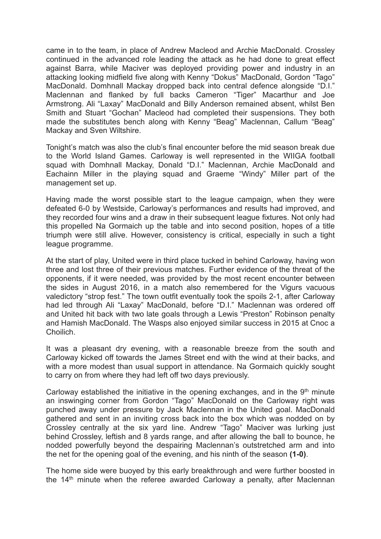came in to the team, in place of Andrew Macleod and Archie MacDonald. Crossley continued in the advanced role leading the attack as he had done to great effect against Barra, while Maciver was deployed providing power and industry in an attacking looking midfield five along with Kenny "Dokus" MacDonald, Gordon "Tago" MacDonald. Domhnall Mackay dropped back into central defence alongside "D.I." Maclennan and flanked by full backs Cameron "Tiger" Macarthur and Joe Armstrong. Ali "Laxay" MacDonald and Billy Anderson remained absent, whilst Ben Smith and Stuart "Gochan" Macleod had completed their suspensions. They both made the substitutes bench along with Kenny "Beag" Maclennan, Callum "Beag" Mackay and Sven Wiltshire.

Tonight's match was also the club's final encounter before the mid season break due to the World Island Games. Carloway is well represented in the WIIGA football squad with Domhnall Mackay, Donald "D.I." Maclennan, Archie MacDonald and Eachainn Miller in the playing squad and Graeme "Windy" Miller part of the management set up.

Having made the worst possible start to the league campaign, when they were defeated 6-0 by Westside, Carloway's performances and results had improved, and they recorded four wins and a draw in their subsequent league fixtures. Not only had this propelled Na Gormaich up the table and into second position, hopes of a title triumph were still alive. However, consistency is critical, especially in such a tight league programme.

At the start of play, United were in third place tucked in behind Carloway, having won three and lost three of their previous matches. Further evidence of the threat of the opponents, if it were needed, was provided by the most recent encounter between the sides in August 2016, in a match also remembered for the Vigurs vacuous valedictory "strop fest." The town outfit eventually took the spoils 2-1, after Carloway had led through Ali "Laxay" MacDonald, before "D.I." Maclennan was ordered off and United hit back with two late goals through a Lewis "Preston" Robinson penalty and Hamish MacDonald. The Wasps also enjoyed similar success in 2015 at Cnoc a Choilich.

It was a pleasant dry evening, with a reasonable breeze from the south and Carloway kicked off towards the James Street end with the wind at their backs, and with a more modest than usual support in attendance. Na Gormaich quickly sought to carry on from where they had left off two days previously.

Carloway established the initiative in the opening exchanges, and in the  $9<sup>th</sup>$  minute an inswinging corner from Gordon "Tago" MacDonald on the Carloway right was punched away under pressure by Jack Maclennan in the United goal. MacDonald gathered and sent in an inviting cross back into the box which was nodded on by Crossley centrally at the six yard line. Andrew "Tago" Maciver was lurking just behind Crossley, leftish and 8 yards range, and after allowing the ball to bounce, he nodded powerfully beyond the despairing Maclennan's outstretched arm and into the net for the opening goal of the evening, and his ninth of the season **(1-0)**.

The home side were buoyed by this early breakthrough and were further boosted in the  $14<sup>th</sup>$  minute when the referee awarded Carloway a penalty, after Maclennan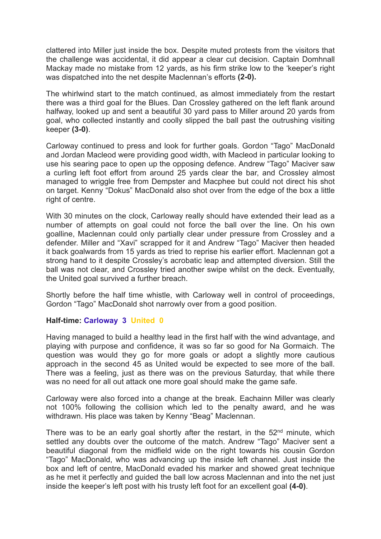clattered into Miller just inside the box. Despite muted protests from the visitors that the challenge was accidental, it did appear a clear cut decision. Captain Domhnall Mackay made no mistake from 12 yards, as his firm strike low to the 'keeper's right was dispatched into the net despite Maclennan's efforts **(2-0).**

The whirlwind start to the match continued, as almost immediately from the restart there was a third goal for the Blues. Dan Crossley gathered on the left flank around halfway, looked up and sent a beautiful 30 yard pass to Miller around 20 yards from goal, who collected instantly and coolly slipped the ball past the outrushing visiting keeper **(3-0)**.

Carloway continued to press and look for further goals. Gordon "Tago" MacDonald and Jordan Macleod were providing good width, with Macleod in particular looking to use his searing pace to open up the opposing defence. Andrew "Tago" Maciver saw a curling left foot effort from around 25 yards clear the bar, and Crossley almost managed to wriggle free from Dempster and Macphee but could not direct his shot on target. Kenny "Dokus" MacDonald also shot over from the edge of the box a little right of centre.

With 30 minutes on the clock, Carloway really should have extended their lead as a number of attempts on goal could not force the ball over the line. On his own goalline, Maclennan could only partially clear under pressure from Crossley and a defender. Miller and "Xavi" scrapped for it and Andrew "Tago" Maciver then headed it back goalwards from 15 yards as tried to reprise his earlier effort. Maclennan got a strong hand to it despite Crossley's acrobatic leap and attempted diversion. Still the ball was not clear, and Crossley tried another swipe whilst on the deck. Eventually, the United goal survived a further breach.

Shortly before the half time whistle, with Carloway well in control of proceedings, Gordon "Tago" MacDonald shot narrowly over from a good position.

## **Half-time: Carloway 3 United 0**

Having managed to build a healthy lead in the first half with the wind advantage, and playing with purpose and confidence, it was so far so good for Na Gormaich. The question was would they go for more goals or adopt a slightly more cautious approach in the second 45 as United would be expected to see more of the ball. There was a feeling, just as there was on the previous Saturday, that while there was no need for all out attack one more goal should make the game safe.

Carloway were also forced into a change at the break. Eachainn Miller was clearly not 100% following the collision which led to the penalty award, and he was withdrawn. His place was taken by Kenny "Beag" Maclennan.

There was to be an early goal shortly after the restart, in the  $52<sup>nd</sup>$  minute, which settled any doubts over the outcome of the match. Andrew "Tago" Maciver sent a beautiful diagonal from the midfield wide on the right towards his cousin Gordon "Tago" MacDonald, who was advancing up the inside left channel. Just inside the box and left of centre, MacDonald evaded his marker and showed great technique as he met it perfectly and guided the ball low across Maclennan and into the net just inside the keeper's left post with his trusty left foot for an excellent goal **(4-0)**.